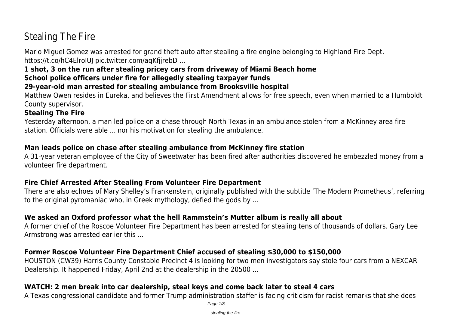# Stealing The Fire

Mario Miguel Gomez was arrested for grand theft auto after stealing a fire engine belonging to Highland Fire Dept. https://t.co/hC4ElroIUJ pic.twitter.com/aqKfjjrebD ...

# **1 shot, 3 on the run after stealing pricey cars from driveway of Miami Beach home**

# **School police officers under fire for allegedly stealing taxpayer funds**

# **29-year-old man arrested for stealing ambulance from Brooksville hospital**

Matthew Owen resides in Eureka, and believes the First Amendment allows for free speech, even when married to a Humboldt County supervisor.

# **Stealing The Fire**

Yesterday afternoon, a man led police on a chase through North Texas in an ambulance stolen from a McKinney area fire station. Officials were able ... nor his motivation for stealing the ambulance.

# **Man leads police on chase after stealing ambulance from McKinney fire station**

A 31-year veteran employee of the City of Sweetwater has been fired after authorities discovered he embezzled money from a volunteer fire department.

# **Fire Chief Arrested After Stealing From Volunteer Fire Department**

There are also echoes of Mary Shelley's Frankenstein, originally published with the subtitle 'The Modern Prometheus', referring to the original pyromaniac who, in Greek mythology, defied the gods by ...

# **We asked an Oxford professor what the hell Rammstein's Mutter album is really all about**

A former chief of the Roscoe Volunteer Fire Department has been arrested for stealing tens of thousands of dollars. Gary Lee Armstrong was arrested earlier this ...

# **Former Roscoe Volunteer Fire Department Chief accused of stealing \$30,000 to \$150,000**

HOUSTON (CW39) Harris County Constable Precinct 4 is looking for two men investigators say stole four cars from a NEXCAR Dealership. It happened Friday, April 2nd at the dealership in the 20500 ...

# **WATCH: 2 men break into car dealership, steal keys and come back later to steal 4 cars**

A Texas congressional candidate and former Trump administration staffer is facing criticism for racist remarks that she does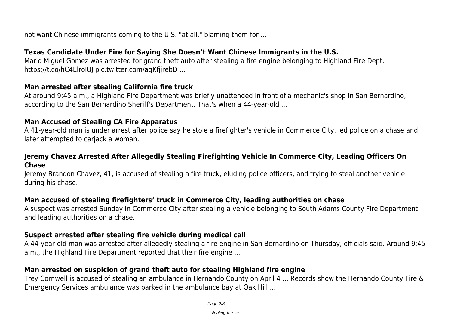not want Chinese immigrants coming to the U.S. "at all," blaming them for ...

#### **Texas Candidate Under Fire for Saying She Doesn't Want Chinese Immigrants in the U.S.**

Mario Miguel Gomez was arrested for grand theft auto after stealing a fire engine belonging to Highland Fire Dept. https://t.co/hC4ElroIUJ pic.twitter.com/aqKfjjrebD ...

#### **Man arrested after stealing California fire truck**

At around 9:45 a.m., a Highland Fire Department was briefly unattended in front of a mechanic's shop in San Bernardino, according to the San Bernardino Sheriff's Department. That's when a 44-year-old ...

#### **Man Accused of Stealing CA Fire Apparatus**

A 41-year-old man is under arrest after police say he stole a firefighter's vehicle in Commerce City, led police on a chase and later attempted to carjack a woman.

#### **Jeremy Chavez Arrested After Allegedly Stealing Firefighting Vehicle In Commerce City, Leading Officers On Chase**

Jeremy Brandon Chavez, 41, is accused of stealing a fire truck, eluding police officers, and trying to steal another vehicle during his chase.

## **Man accused of stealing firefighters' truck in Commerce City, leading authorities on chase**

A suspect was arrested Sunday in Commerce City after stealing a vehicle belonging to South Adams County Fire Department and leading authorities on a chase.

#### **Suspect arrested after stealing fire vehicle during medical call**

A 44-year-old man was arrested after allegedly stealing a fire engine in San Bernardino on Thursday, officials said. Around 9:45 a.m., the Highland Fire Department reported that their fire engine ...

# **Man arrested on suspicion of grand theft auto for stealing Highland fire engine**

Trey Cornwell is accused of stealing an ambulance in Hernando County on April 4 ... Records show the Hernando County Fire & Emergency Services ambulance was parked in the ambulance bay at Oak Hill ...

stealing-the-fire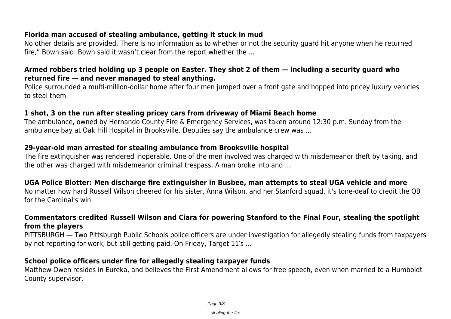#### **Florida man accused of stealing ambulance, getting it stuck in mud**

No other details are provided. There is no information as to whether or not the security guard hit anyone when he returned fire," Bown said. Bown said it wasn't clear from the report whether the ...

## **Armed robbers tried holding up 3 people on Easter. They shot 2 of them — including a security guard who returned fire — and never managed to steal anything.**

Police surrounded a multi-million-dollar home after four men jumped over a front gate and hopped into pricey luxury vehicles to steal them.

## **1 shot, 3 on the run after stealing pricey cars from driveway of Miami Beach home**

The ambulance, owned by Hernando County Fire & Emergency Services, was taken around 12:30 p.m. Sunday from the ambulance bay at Oak Hill Hospital in Brooksville. Deputies say the ambulance crew was ...

## **29-year-old man arrested for stealing ambulance from Brooksville hospital**

The fire extinguisher was rendered inoperable. One of the men involved was charged with misdemeanor theft by taking, and the other was charged with misdemeanor criminal trespass. A man broke into and ...

## **UGA Police Blotter: Men discharge fire extinguisher in Busbee, man attempts to steal UGA vehicle and more**

No matter how hard Russell Wilson cheered for his sister, Anna Wilson, and her Stanford squad, it's tone-deaf to credit the QB for the Cardinal's win.

#### **Commentators credited Russell Wilson and Ciara for powering Stanford to the Final Four, stealing the spotlight from the players**

PITTSBURGH — Two Pittsburgh Public Schools police officers are under investigation for allegedly stealing funds from taxpayers by not reporting for work, but still getting paid. On Friday, Target 11′s ...

#### **School police officers under fire for allegedly stealing taxpayer funds**

Matthew Owen resides in Eureka, and believes the First Amendment allows for free speech, even when married to a Humboldt County supervisor.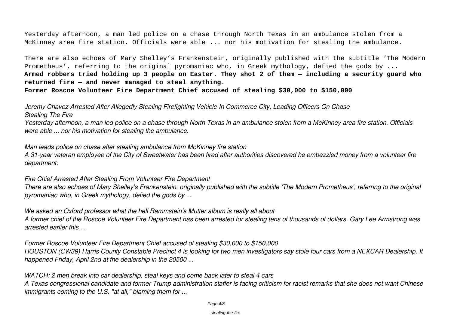Yesterday afternoon, a man led police on a chase through North Texas in an ambulance stolen from a McKinney area fire station. Officials were able ... nor his motivation for stealing the ambulance.

There are also echoes of Mary Shelley's Frankenstein, originally published with the subtitle 'The Modern Prometheus', referring to the original pyromaniac who, in Greek mythology, defied the gods by ... **Armed robbers tried holding up 3 people on Easter. They shot 2 of them — including a security guard who returned fire — and never managed to steal anything.**

**Former Roscoe Volunteer Fire Department Chief accused of stealing \$30,000 to \$150,000**

*Jeremy Chavez Arrested After Allegedly Stealing Firefighting Vehicle In Commerce City, Leading Officers On Chase Stealing The Fire*

*Yesterday afternoon, a man led police on a chase through North Texas in an ambulance stolen from a McKinney area fire station. Officials were able ... nor his motivation for stealing the ambulance.*

*Man leads police on chase after stealing ambulance from McKinney fire station*

*A 31-year veteran employee of the City of Sweetwater has been fired after authorities discovered he embezzled money from a volunteer fire department.*

*Fire Chief Arrested After Stealing From Volunteer Fire Department There are also echoes of Mary Shelley's Frankenstein, originally published with the subtitle 'The Modern Prometheus', referring to the original pyromaniac who, in Greek mythology, defied the gods by ...*

*We asked an Oxford professor what the hell Rammstein's Mutter album is really all about*

*A former chief of the Roscoe Volunteer Fire Department has been arrested for stealing tens of thousands of dollars. Gary Lee Armstrong was arrested earlier this ...*

*Former Roscoe Volunteer Fire Department Chief accused of stealing \$30,000 to \$150,000 HOUSTON (CW39) Harris County Constable Precinct 4 is looking for two men investigators say stole four cars from a NEXCAR Dealership. It happened Friday, April 2nd at the dealership in the 20500 ...*

*WATCH: 2 men break into car dealership, steal keys and come back later to steal 4 cars A Texas congressional candidate and former Trump administration staffer is facing criticism for racist remarks that she does not want Chinese immigrants coming to the U.S. "at all," blaming them for ...*

stealing-the-fire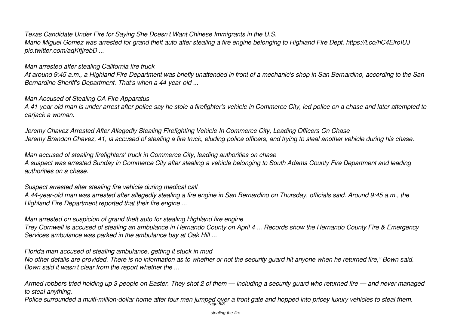#### *Texas Candidate Under Fire for Saying She Doesn't Want Chinese Immigrants in the U.S.*

*Mario Miguel Gomez was arrested for grand theft auto after stealing a fire engine belonging to Highland Fire Dept. https://t.co/hC4ElroIUJ pic.twitter.com/aqKfjjrebD ...*

#### *Man arrested after stealing California fire truck*

*At around 9:45 a.m., a Highland Fire Department was briefly unattended in front of a mechanic's shop in San Bernardino, according to the San Bernardino Sheriff's Department. That's when a 44-year-old ...*

#### *Man Accused of Stealing CA Fire Apparatus*

*A 41-year-old man is under arrest after police say he stole a firefighter's vehicle in Commerce City, led police on a chase and later attempted to carjack a woman.*

*Jeremy Chavez Arrested After Allegedly Stealing Firefighting Vehicle In Commerce City, Leading Officers On Chase Jeremy Brandon Chavez, 41, is accused of stealing a fire truck, eluding police officers, and trying to steal another vehicle during his chase.*

*Man accused of stealing firefighters' truck in Commerce City, leading authorities on chase A suspect was arrested Sunday in Commerce City after stealing a vehicle belonging to South Adams County Fire Department and leading authorities on a chase.*

*Suspect arrested after stealing fire vehicle during medical call*

*A 44-year-old man was arrested after allegedly stealing a fire engine in San Bernardino on Thursday, officials said. Around 9:45 a.m., the Highland Fire Department reported that their fire engine ...*

*Man arrested on suspicion of grand theft auto for stealing Highland fire engine*

*Trey Cornwell is accused of stealing an ambulance in Hernando County on April 4 ... Records show the Hernando County Fire & Emergency Services ambulance was parked in the ambulance bay at Oak Hill ...*

*Florida man accused of stealing ambulance, getting it stuck in mud*

*No other details are provided. There is no information as to whether or not the security guard hit anyone when he returned fire," Bown said. Bown said it wasn't clear from the report whether the ...*

*Armed robbers tried holding up 3 people on Easter. They shot 2 of them — including a security guard who returned fire — and never managed to steal anything.*

Police surrounded a multi-million-dollar home after four men jumped over a front gate and hopped into pricey luxury vehicles to steal them.

stealing-the-fire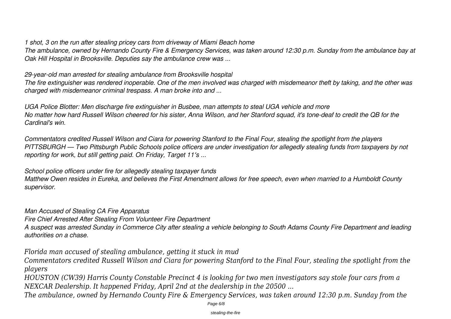*1 shot, 3 on the run after stealing pricey cars from driveway of Miami Beach home*

*The ambulance, owned by Hernando County Fire & Emergency Services, was taken around 12:30 p.m. Sunday from the ambulance bay at Oak Hill Hospital in Brooksville. Deputies say the ambulance crew was ...*

*29-year-old man arrested for stealing ambulance from Brooksville hospital*

*The fire extinguisher was rendered inoperable. One of the men involved was charged with misdemeanor theft by taking, and the other was charged with misdemeanor criminal trespass. A man broke into and ...*

*UGA Police Blotter: Men discharge fire extinguisher in Busbee, man attempts to steal UGA vehicle and more No matter how hard Russell Wilson cheered for his sister, Anna Wilson, and her Stanford squad, it's tone-deaf to credit the QB for the Cardinal's win.*

*Commentators credited Russell Wilson and Ciara for powering Stanford to the Final Four, stealing the spotlight from the players PITTSBURGH — Two Pittsburgh Public Schools police officers are under investigation for allegedly stealing funds from taxpayers by not reporting for work, but still getting paid. On Friday, Target 11′s ...*

*School police officers under fire for allegedly stealing taxpayer funds Matthew Owen resides in Eureka, and believes the First Amendment allows for free speech, even when married to a Humboldt County supervisor.*

*Man Accused of Stealing CA Fire Apparatus*

*Fire Chief Arrested After Stealing From Volunteer Fire Department*

*A suspect was arrested Sunday in Commerce City after stealing a vehicle belonging to South Adams County Fire Department and leading authorities on a chase.*

*Florida man accused of stealing ambulance, getting it stuck in mud*

*Commentators credited Russell Wilson and Ciara for powering Stanford to the Final Four, stealing the spotlight from the players*

*HOUSTON (CW39) Harris County Constable Precinct 4 is looking for two men investigators say stole four cars from a NEXCAR Dealership. It happened Friday, April 2nd at the dealership in the 20500 ...*

*The ambulance, owned by Hernando County Fire & Emergency Services, was taken around 12:30 p.m. Sunday from the*

Page 6/8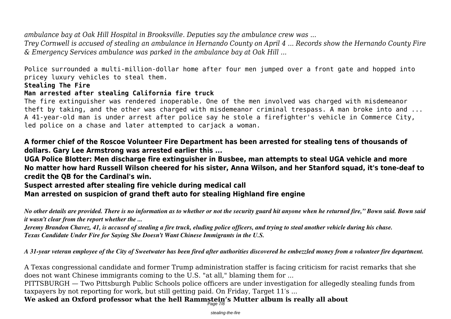*ambulance bay at Oak Hill Hospital in Brooksville. Deputies say the ambulance crew was ...*

*Trey Cornwell is accused of stealing an ambulance in Hernando County on April 4 ... Records show the Hernando County Fire & Emergency Services ambulance was parked in the ambulance bay at Oak Hill ...*

Police surrounded a multi-million-dollar home after four men jumped over a front gate and hopped into pricey luxury vehicles to steal them.

#### **Stealing The Fire**

#### **Man arrested after stealing California fire truck**

The fire extinguisher was rendered inoperable. One of the men involved was charged with misdemeanor theft by taking, and the other was charged with misdemeanor criminal trespass. A man broke into and ... A 41-year-old man is under arrest after police say he stole a firefighter's vehicle in Commerce City, led police on a chase and later attempted to carjack a woman.

**A former chief of the Roscoe Volunteer Fire Department has been arrested for stealing tens of thousands of dollars. Gary Lee Armstrong was arrested earlier this ...**

**UGA Police Blotter: Men discharge fire extinguisher in Busbee, man attempts to steal UGA vehicle and more No matter how hard Russell Wilson cheered for his sister, Anna Wilson, and her Stanford squad, it's tone-deaf to credit the QB for the Cardinal's win.**

**Suspect arrested after stealing fire vehicle during medical call**

**Man arrested on suspicion of grand theft auto for stealing Highland fire engine**

*No other details are provided. There is no information as to whether or not the security guard hit anyone when he returned fire," Bown said. Bown said it wasn't clear from the report whether the ...*

*Jeremy Brandon Chavez, 41, is accused of stealing a fire truck, eluding police officers, and trying to steal another vehicle during his chase. Texas Candidate Under Fire for Saying She Doesn't Want Chinese Immigrants in the U.S.*

*A 31-year veteran employee of the City of Sweetwater has been fired after authorities discovered he embezzled money from a volunteer fire department.*

A Texas congressional candidate and former Trump administration staffer is facing criticism for racist remarks that she does not want Chinese immigrants coming to the U.S. "at all," blaming them for ...

PITTSBURGH — Two Pittsburgh Public Schools police officers are under investigation for allegedly stealing funds from taxpayers by not reporting for work, but still getting paid. On Friday, Target 11′s ...

**We asked an Oxford professor what the hell Rammstein's Mutter album is really all about** Page 7/8